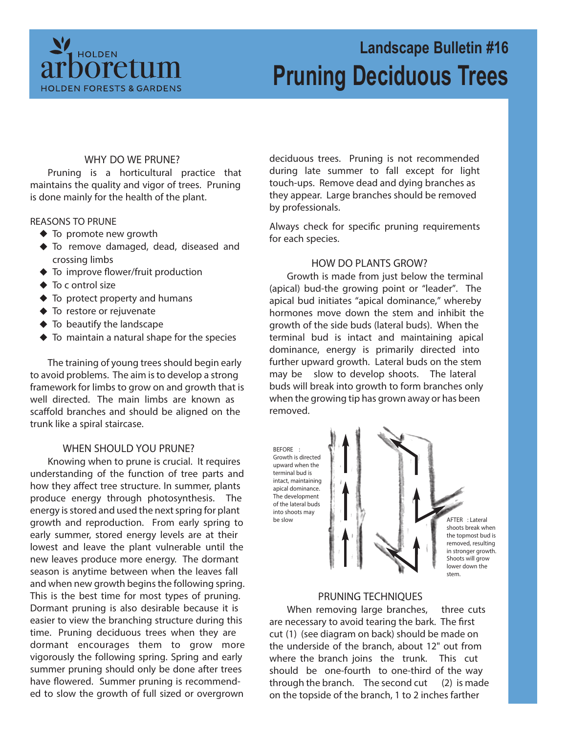

# **Landscape Bulletin #16 Pruning Deciduous Trees**

### **WHY DO WE PRUNE?**

Pruning is a horticultural practice that maintains the quality and vigor of trees. Pruning is done mainly for the health of the plant.

#### **REASONS TO PRUNE**

- ◆ To promote new growth
- To remove damaged, dead, diseased and crossing limbs
- ◆ To improve flower/fruit production
- ◆ To c ontrol size
- $\blacklozenge$  To protect property and humans
- ◆ To restore or rejuvenate
- $\blacklozenge$  To beautify the landscape
- $\blacklozenge$  To maintain a natural shape for the species

The training of young trees should begin early to avoid problems. The aim is to develop a strong framework for limbs to grow on and growth that is well directed. The main limbs are known as scaffold branches and should be aligned on the trunk like a spiral staircase.

# **WHEN SHOULD YOU PRUNE?**

Knowing when to prune is crucial. It requires understanding of the function of tree parts and how they affect tree structure. In summer, plants produce energy through photosynthesis. The energy is stored and used the next spring for plant growth and reproduction. From early spring to early summer, stored energy levels are at their lowest and leave the plant vulnerable until the new leaves produce more energy. The dormant season is anytime between when the leaves fall and when new growth begins the following spring. This is the best time for most types of pruning. Dormant pruning is also desirable because it is easier to view the branching structure during this time. Pruning deciduous trees when they are dormant encourages them to grow more vigorously the following spring. Spring and early summer pruning should only be done after trees have flowered. Summer pruning is recommended to slow the growth of full sized or overgrown

deciduous trees. Pruning is not recommended during late summer to fall except for light touch-ups. Remove dead and dying branches as they appear. Large branches should be removed by professionals.

Always check for specific pruning requirements for each species.

#### **HOW DO PLANTS GROW?**

Growth is made from just below the terminal (apical) bud-the growing point or "leader". The apical bud initiates "apical dominance," whereby hormones move down the stem and inhibit the growth of the side buds (lateral buds). When the terminal bud is intact and maintaining apical dominance, energy is primarily directed into further upward growth. Lateral buds on the stem may be slow to develop shoots. The lateral buds will break into growth to form branches only when the growing tip has grown away or has been removed.





#### **PRUNING TECHNIQUES**

When removing large branches, **three cuts** are necessary to avoid tearing the bark. The first cut **(1)** (see diagram on back) should be made on the underside of the branch, about 12" out from where the branch joins the trunk. This cut should be one-fourth to one-third of the way through the branch. The second cut **(2)** is made on the topside of the branch, 1 to 2 inches farther